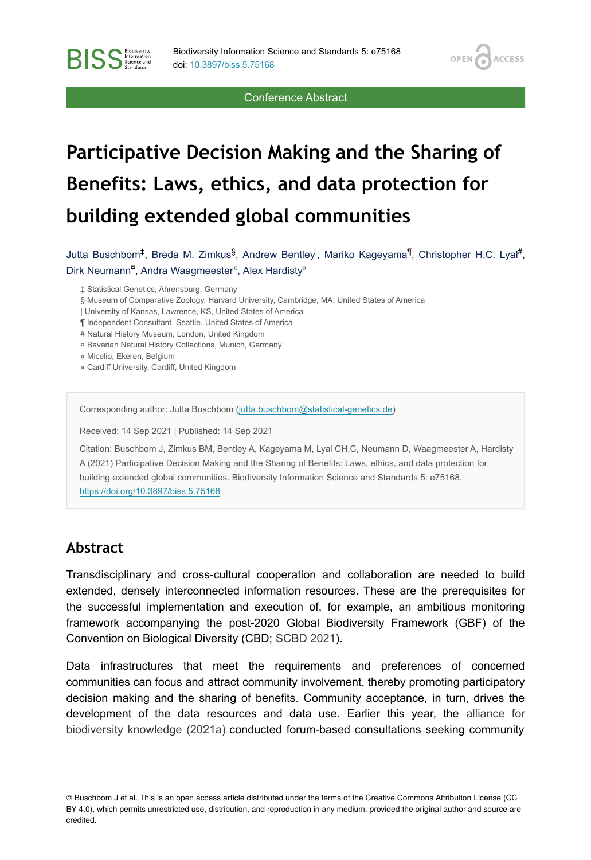**OPEN** 

**ACCESS** 

Conference Abstract

# **Participative Decision Making and the Sharing of Benefits: Laws, ethics, and data protection for building extended global communities**

Jutta Buschbom<sup>‡</sup>, Breda M. Zimkus<sup>§</sup>, Andrew Bentley<sup>l</sup>, Mariko Kageyama<sup>¶</sup>, Christopher H.C. Lyal<sup>#</sup>, Dirk Neumann<sup>¤</sup>, Andra Waagmeester<sup>«</sup>, Alex Hardisty<sup>»</sup>

‡ Statistical Genetics, Ahrensburg, Germany

§ Museum of Comparative Zoology, Harvard University, Cambridge, MA, United States of America

| University of Kansas, Lawrence, KS, United States of America

¶ Independent Consultant, Seattle, United States of America

# Natural History Museum, London, United Kingdom

¤ Bavarian Natural History Collections, Munich, Germany

« Micelio, Ekeren, Belgium

**BISS** Steince and

» Cardiff University, Cardiff, United Kingdom

Corresponding author: Jutta Buschbom ([jutta.buschbom@statistical-genetics.de](mailto:jutta.buschbom@statistical-genetics.de))

Received: 14 Sep 2021 | Published: 14 Sep 2021

Citation: Buschbom J, Zimkus BM, Bentley A, Kageyama M, Lyal CH.C, Neumann D, Waagmeester A, Hardisty A (2021) Participative Decision Making and the Sharing of Benefits: Laws, ethics, and data protection for building extended global communities. Biodiversity Information Science and Standards 5: e75168. <https://doi.org/10.3897/biss.5.75168>

#### **Abstract**

Transdisciplinary and cross-cultural cooperation and collaboration are needed to build extended, densely interconnected information resources. These are the prerequisites for the successful implementation and execution of, for example, an ambitious monitoring framework accompanying the post-2020 Global Biodiversity Framework (GBF) of the Convention on Biological Diversity (CBD; [SCBD 2021\)](#page-3-0).

Data infrastructures that meet the requirements and preferences of concerned communities can focus and attract community involvement, thereby promoting participatory decision making and the sharing of benefits. Community acceptance, in turn, drives the development of the data resources and data use. Earlier this year, the [alliance for](#page-2-0) [biodiversity knowledge \(2021a\)](#page-2-0) conducted forum-based consultations seeking community

© Buschbom J et al. This is an open access article distributed under the terms of the Creative Commons Attribution License (CC BY 4.0), which permits unrestricted use, distribution, and reproduction in any medium, provided the original author and source are credited.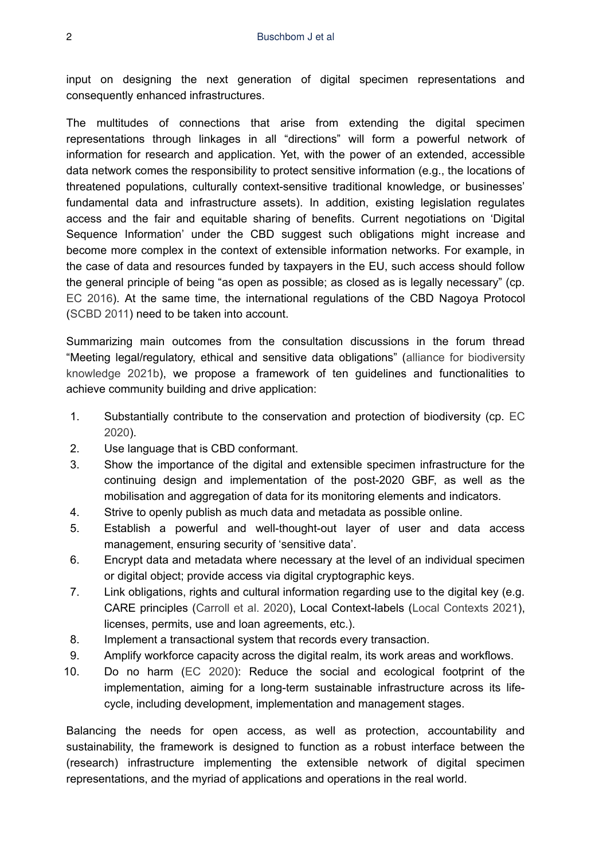input on designing the next generation of digital specimen representations and consequently enhanced infrastructures.

The multitudes of connections that arise from extending the digital specimen representations through linkages in all "directions" will form a powerful network of information for research and application. Yet, with the power of an extended, accessible data network comes the responsibility to protect sensitive information (e.g., the locations of threatened populations, culturally context-sensitive traditional knowledge, or businesses' fundamental data and infrastructure assets). In addition, existing legislation regulates access and the fair and equitable sharing of benefits. Current negotiations on 'Digital Sequence Information' under the CBD suggest such obligations might increase and become more complex in the context of extensible information networks. For example, in the case of data and resources funded by taxpayers in the EU, such access should follow the general principle of being "as open as possible; as closed as is legally necessary" (cp. [EC 2016](#page-3-1)). At the same time, the international regulations of the CBD Nagoya Protocol [\(SCBD 2011](#page-3-2)) need to be taken into account.

Summarizing main outcomes from the consultation discussions in the forum thread "Meeting legal/regulatory, ethical and sensitive data obligations" [\(alliance for biodiversity](#page-2-1) [knowledge 2021b](#page-2-1)), we propose a framework of ten guidelines and functionalities to achieve community building and drive application:

- 1. Substantially contribute to the conservation and protection of biodiversity (cp. [EC](#page-3-3) [2020](#page-3-3)).
- 2. Use language that is CBD conformant.
- 3. Show the importance of the digital and extensible specimen infrastructure for the continuing design and implementation of the post-2020 GBF, as well as the mobilisation and aggregation of data for its monitoring elements and indicators.
- 4. Strive to openly publish as much data and metadata as possible online.
- 5. Establish a powerful and well-thought-out layer of user and data access management, ensuring security of 'sensitive data'.
- 6. Encrypt data and metadata where necessary at the level of an individual specimen or digital object; provide access via digital cryptographic keys.
- 7. Link obligations, rights and cultural information regarding use to the digital key (e.g. CARE principles [\(Carroll et al. 2020\)](#page-3-4), Local Context-labels [\(Local Contexts 2021\)](#page-3-5), licenses, permits, use and loan agreements, etc.).
- 8. Implement a transactional system that records every transaction.
- 9. Amplify workforce capacity across the digital realm, its work areas and workflows.
- 10. Do no harm [\(EC 2020](#page-3-3)): Reduce the social and ecological footprint of the implementation, aiming for a long-term sustainable infrastructure across its lifecycle, including development, implementation and management stages.

Balancing the needs for open access, as well as protection, accountability and sustainability, the framework is designed to function as a robust interface between the (research) infrastructure implementing the extensible network of digital specimen representations, and the myriad of applications and operations in the real world.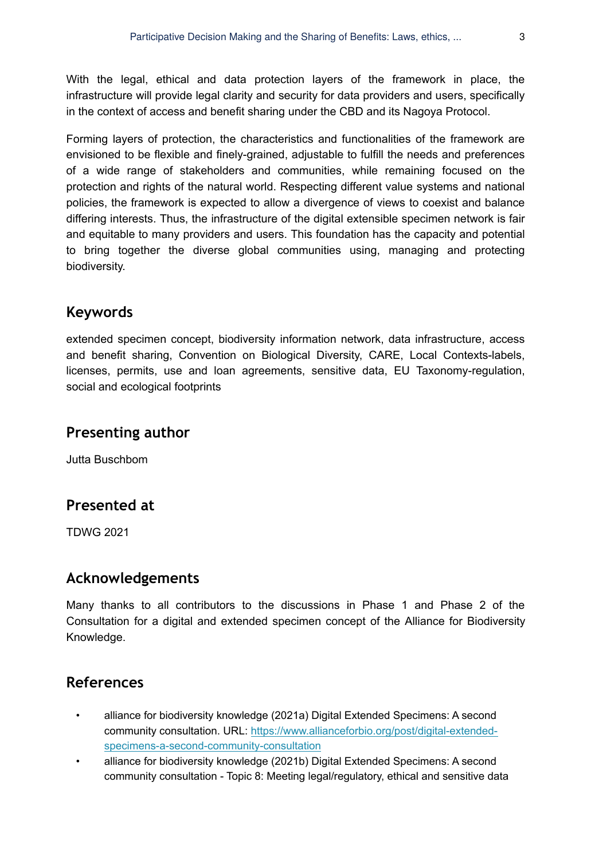With the legal, ethical and data protection layers of the framework in place, the infrastructure will provide legal clarity and security for data providers and users, specifically in the context of access and benefit sharing under the CBD and its Nagoya Protocol.

Forming layers of protection, the characteristics and functionalities of the framework are envisioned to be flexible and finely-grained, adjustable to fulfill the needs and preferences of a wide range of stakeholders and communities, while remaining focused on the protection and rights of the natural world. Respecting different value systems and national policies, the framework is expected to allow a divergence of views to coexist and balance differing interests. Thus, the infrastructure of the digital extensible specimen network is fair and equitable to many providers and users. This foundation has the capacity and potential to bring together the diverse global communities using, managing and protecting biodiversity.

## **Keywords**

extended specimen concept, biodiversity information network, data infrastructure, access and benefit sharing, Convention on Biological Diversity, CARE, Local Contexts-labels, licenses, permits, use and loan agreements, sensitive data, EU Taxonomy-regulation, social and ecological footprints

#### **Presenting author**

Jutta Buschbom

## **Presented at**

TDWG 2021

#### **Acknowledgements**

Many thanks to all contributors to the discussions in Phase 1 and Phase 2 of the Consultation for a digital and extended specimen concept of the Alliance for Biodiversity Knowledge.

# **References**

- <span id="page-2-0"></span>• alliance for biodiversity knowledge (2021a) Digital Extended Specimens: A second community consultation. URL: [https://www.allianceforbio.org/post/digital-extended](https://www.allianceforbio.org/post/digital-extended-specimens-a-second-community-consultation)[specimens-a-second-community-consultation](https://www.allianceforbio.org/post/digital-extended-specimens-a-second-community-consultation)
- <span id="page-2-1"></span>• alliance for biodiversity knowledge (2021b) Digital Extended Specimens: A second community consultation - Topic 8: Meeting legal/regulatory, ethical and sensitive data